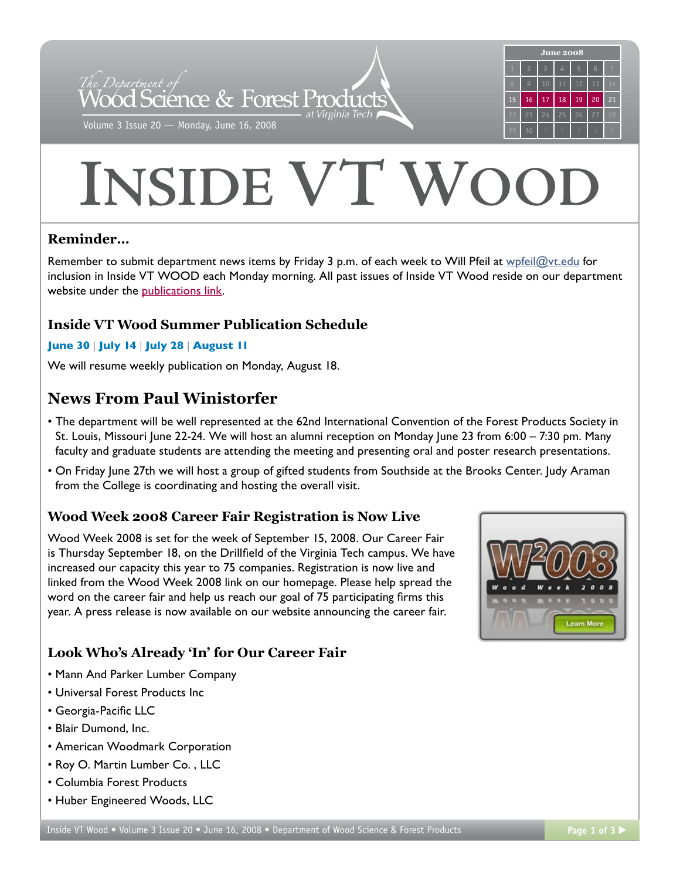

# **INSIDE VT WOOD**

## **Reminder…**

Remember to submit department news items by Friday 3 p.m. of each week to Will Pfeil at [wpfeil@vt.edu](mailto:wpfeil@vt.edu) for inclusion in Inside VT WOOD each Monday morning. All past issues of Inside VT Wood reside on our department website under the [publications link](http://www.woodscience.vt.edu/publications/).

## **Inside VT Wood Summer Publication Schedule**

#### **June 30** | **July 14** | **July 28** | **August 11**

We will resume weekly publication on Monday, August 18.

# **News From Paul Winistorfer**

- The department will be well represented at the 62nd International Convention of the Forest Products Society in St. Louis, Missouri June 22-24. We will host an alumni reception on Monday June 23 from 6:00 – 7:30 pm. Many faculty and graduate students are attending the meeting and presenting oral and poster research presentations.
- On Friday June 27th we will host a group of gifted students from Southside at the Brooks Center. Judy Araman from the College is coordinating and hosting the overall visit.

# **Wood Week 2008 Career Fair Registration is Now Live**

Wood Week 2008 is set for the week of September 15, 2008. Our Career Fair is Thursday September 18, on the Drillfield of the Virginia Tech campus. We have increased our capacity this year to 75 companies. Registration is now live and linked from the Wood Week 2008 link on our homepage. Please help spread the word on the career fair and help us reach our goal of 75 participating firms this year. A press release is now available on our website announcing the career fair.



# **Look Who's Already 'In' for Our Career Fair**

- Mann And Parker Lumber Company
- Universal Forest Products Inc
- Georgia-Pacific LLC
- Blair Dumond, Inc.
- American Woodmark Corporation
- Roy O. Martin Lumber Co. , LLC
- Columbia Forest Products
- Huber Engineered Woods, LLC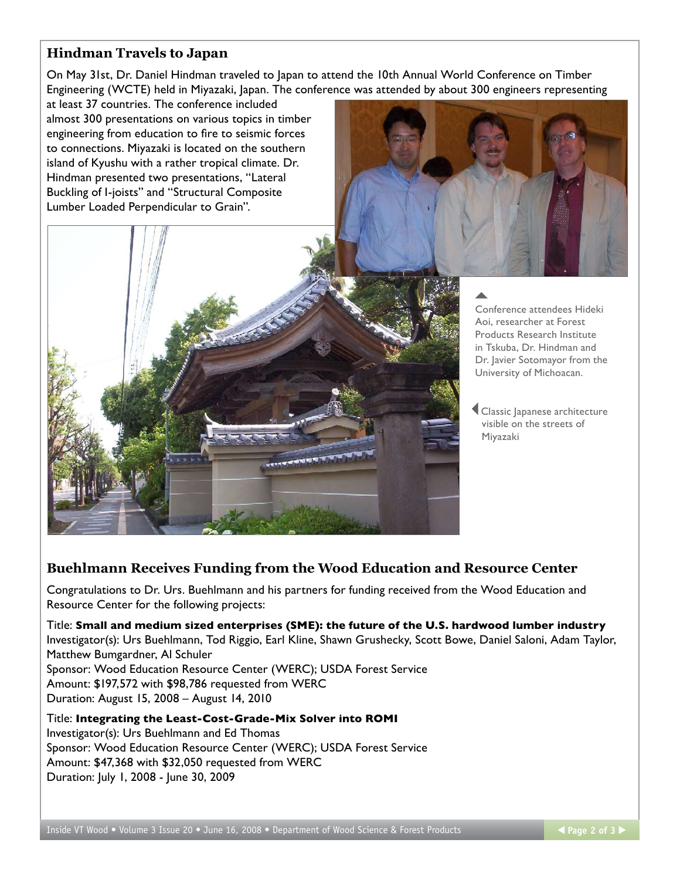### **Hindman Travels to Japan**

On May 31st, Dr. Daniel Hindman traveled to Japan to attend the 10th Annual World Conference on Timber Engineering (WCTE) held in Miyazaki, Japan. The conference was attended by about 300 engineers representing

at least 37 countries. The conference included almost 300 presentations on various topics in timber engineering from education to fire to seismic forces to connections. Miyazaki is located on the southern island of Kyushu with a rather tropical climate. Dr. Hindman presented two presentations, "Lateral Buckling of I-joists" and "Structural Composite Lumber Loaded Perpendicular to Grain".





Conference attendees Hideki Aoi, researcher at Forest Products Research Institute in Tskuba, Dr. Hindman and Dr. Javier Sotomayor from the University of Michoacan.

 Classic Japanese architecture visible on the streets of Miyazaki

### **Buehlmann Receives Funding from the Wood Education and Resource Center**

Congratulations to Dr. Urs. Buehlmann and his partners for funding received from the Wood Education and Resource Center for the following projects:

Title: **Small and medium sized enterprises (SME): the future of the U.S. hardwood lumber industry** Investigator(s): Urs Buehlmann, Tod Riggio, Earl Kline, Shawn Grushecky, Scott Bowe, Daniel Saloni, Adam Taylor, Matthew Bumgardner, Al Schuler Sponsor: Wood Education Resource Center (WERC); USDA Forest Service Amount: \$197,572 with \$98,786 requested from WERC Duration: August 15, 2008 – August 14, 2010

Title: **Integrating the Least-Cost-Grade-Mix Solver into ROMI** Investigator(s): Urs Buehlmann and Ed Thomas Sponsor: Wood Education Resource Center (WERC); USDA Forest Service Amount: \$47,368 with \$32,050 requested from WERC Duration: July 1, 2008 - June 30, 2009